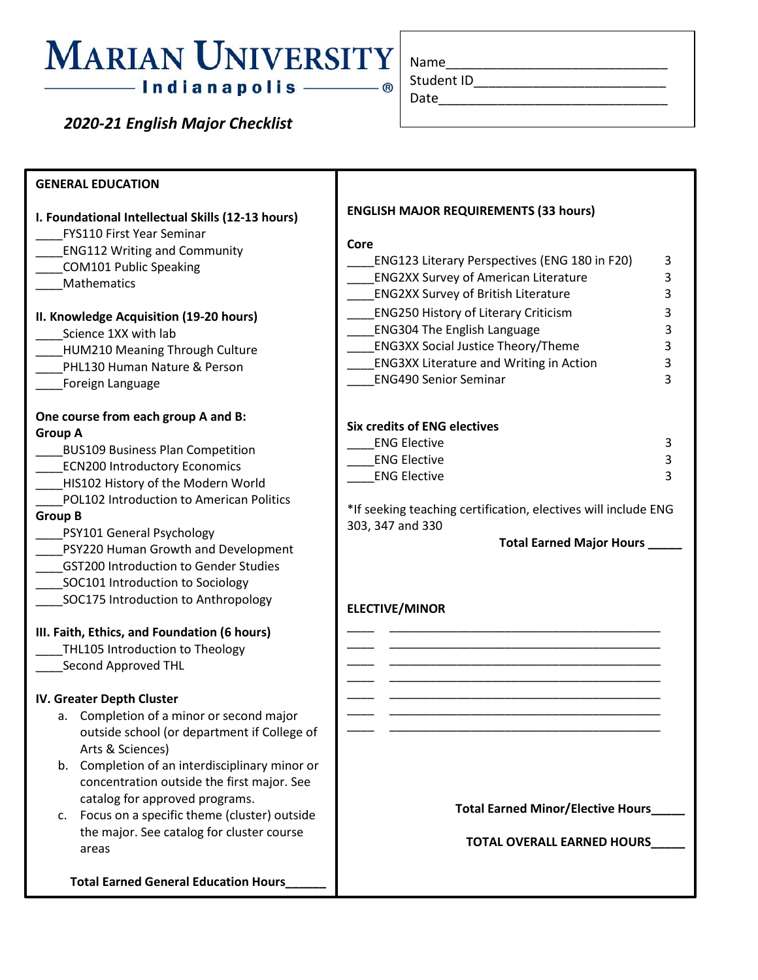## **MARIAN UNIVERSITY** Indianapolis ———— ®

 *2020-21 English Major Checklist*

| Name       |  |
|------------|--|
| Student ID |  |
| Date       |  |

## **GENERAL EDUCATION I. Foundational Intellectual Skills (12-13 hours)** \_\_\_\_FYS110 First Year Seminar \_\_\_\_ENG112 Writing and Community \_\_\_\_COM101 Public Speaking \_\_\_\_Mathematics **II. Knowledge Acquisition (19-20 hours)** \_\_\_\_Science 1XX with lab \_\_\_\_HUM210 Meaning Through Culture PHL130 Human Nature & Person \_\_\_\_Foreign Language **One course from each group A and B: Group A** \_\_\_\_BUS109 Business Plan Competition ECN200 Introductory Economics HIS102 History of the Modern World \_\_\_\_POL102 Introduction to American Politics **Group B** \_\_\_\_PSY101 General Psychology \_\_\_\_PSY220 Human Growth and Development \_\_\_\_GST200 Introduction to Gender Studies SOC101 Introduction to Sociology \_\_\_\_SOC175 Introduction to Anthropology **III. Faith, Ethics, and Foundation (6 hours)** THL105 Introduction to Theology \_\_\_\_Second Approved THL **IV. Greater Depth Cluster** a. Completion of a minor or second major outside school (or department if College of Arts & Sciences) b. Completion of an interdisciplinary minor or concentration outside the first major. See catalog for approved programs. c. Focus on a specific theme (cluster) outside the major. See catalog for cluster course areas  **Total Earned General Education Hours\_\_\_\_\_\_ ENGLISH MAJOR REQUIREMENTS (33 hours) Core** ENG123 Literary Perspectives (ENG 180 in F20) 3 \_\_\_\_ENG2XX Survey of American Literature 3 \_\_\_\_ENG2XX Survey of British Literature 3 \_\_\_\_ENG250 History of Literary Criticism 3 ENG304 The English Language 3 \_\_\_\_ENG3XX Social Justice Theory/Theme 3 \_\_\_\_ENG3XX Literature and Writing in Action 3 \_\_\_\_ENG490 Senior Seminar 3 **Six credits of ENG electives** engelective and the set of the set of the set of the set of the set of the set of the set of the set of the set of the set of the set of the set of the set of the set of the set of the set of the set of the set of the set ENG Elective 3 ENG Elective 3 \*If seeking teaching certification, electives will include ENG 303, 347 and 330  **Total Earned Major Hours \_\_\_\_\_ ELECTIVE/MINOR** \_\_\_\_ \_\_\_\_\_\_\_\_\_\_\_\_\_\_\_\_\_\_\_\_\_\_\_\_\_\_\_\_\_\_\_\_\_\_\_\_\_\_\_\_ \_\_\_\_ \_\_\_\_\_\_\_\_\_\_\_\_\_\_\_\_\_\_\_\_\_\_\_\_\_\_\_\_\_\_\_\_\_\_\_\_\_\_\_\_ \_\_\_\_ \_\_\_\_\_\_\_\_\_\_\_\_\_\_\_\_\_\_\_\_\_\_\_\_\_\_\_\_\_\_\_\_\_\_\_\_\_\_\_\_ \_\_\_\_ \_\_\_\_\_\_\_\_\_\_\_\_\_\_\_\_\_\_\_\_\_\_\_\_\_\_\_\_\_\_\_\_\_\_\_\_\_\_\_\_ \_\_\_\_ \_\_\_\_\_\_\_\_\_\_\_\_\_\_\_\_\_\_\_\_\_\_\_\_\_\_\_\_\_\_\_\_\_\_\_\_\_\_\_\_ \_\_\_\_ \_\_\_\_\_\_\_\_\_\_\_\_\_\_\_\_\_\_\_\_\_\_\_\_\_\_\_\_\_\_\_\_\_\_\_\_\_\_\_\_ \_\_\_\_ \_\_\_\_\_\_\_\_\_\_\_\_\_\_\_\_\_\_\_\_\_\_\_\_\_\_\_\_\_\_\_\_\_\_\_\_\_\_\_\_ **Total Earned Minor/Elective Hours\_\_\_\_\_ TOTAL OVERALL EARNED HOURS\_\_\_\_\_**